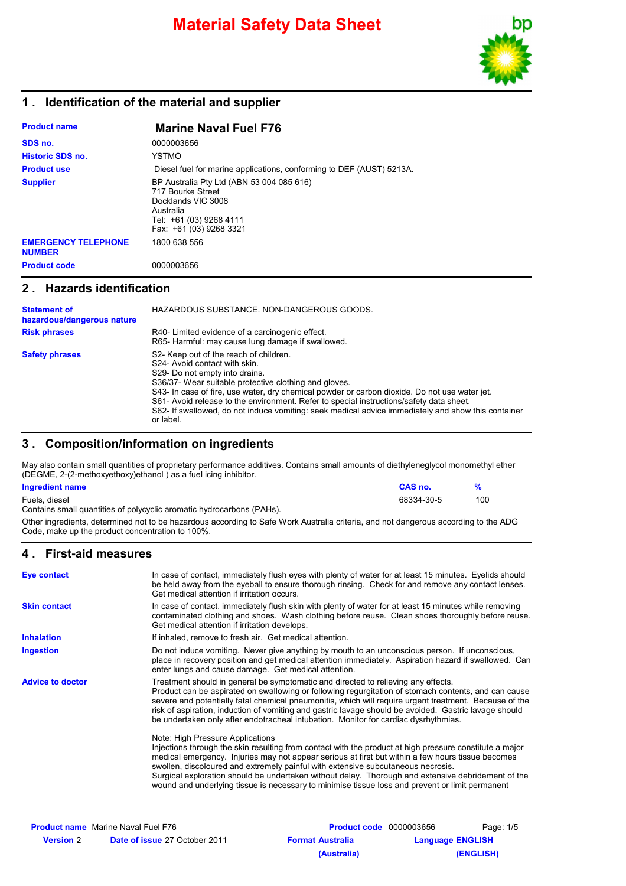

### **1 . Identification of the material and supplier**

| <b>Product name</b>                         | <b>Marine Naval Fuel F76</b>                                                                                                                            |
|---------------------------------------------|---------------------------------------------------------------------------------------------------------------------------------------------------------|
| SDS no.                                     | 0000003656                                                                                                                                              |
| <b>Historic SDS no.</b>                     | <b>YSTMO</b>                                                                                                                                            |
| <b>Product use</b>                          | Diesel fuel for marine applications, conforming to DEF (AUST) 5213A.                                                                                    |
| <b>Supplier</b>                             | BP Australia Pty Ltd (ABN 53 004 085 616)<br>717 Bourke Street<br>Docklands VIC 3008<br>Australia<br>Tel: +61 (03) 9268 4111<br>Fax: +61 (03) 9268 3321 |
| <b>EMERGENCY TELEPHONE</b><br><b>NUMBER</b> | 1800 638 556                                                                                                                                            |
| <b>Product code</b>                         | 0000003656                                                                                                                                              |

### **2 . Hazards identification**

| <b>Statement of</b><br>hazardous/dangerous nature | HAZARDOUS SUBSTANCE. NON-DANGEROUS GOODS.                                                                                                                                                                                                                                                                                                                                                                                                                                         |
|---------------------------------------------------|-----------------------------------------------------------------------------------------------------------------------------------------------------------------------------------------------------------------------------------------------------------------------------------------------------------------------------------------------------------------------------------------------------------------------------------------------------------------------------------|
| <b>Risk phrases</b>                               | R40-Limited evidence of a carcinogenic effect.<br>R65- Harmful: may cause lung damage if swallowed.                                                                                                                                                                                                                                                                                                                                                                               |
| <b>Safety phrases</b>                             | S2- Keep out of the reach of children.<br>S24- Avoid contact with skin.<br>S29- Do not empty into drains.<br>S36/37- Wear suitable protective clothing and gloves.<br>S43- In case of fire, use water, dry chemical powder or carbon dioxide. Do not use water jet.<br>S61- Avoid release to the environment. Refer to special instructions/safety data sheet.<br>S62- If swallowed, do not induce vomiting: seek medical advice immediately and show this container<br>or label. |

### **3 . Composition/information on ingredients**

May also contain small quantities of proprietary performance additives. Contains small amounts of diethyleneglycol monomethyl ether (DEGME, 2-(2-methoxyethoxy)ethanol ) as a fuel icing inhibitor.

| Ingredient name                                                                                                                                                                         | CAS no.    | $\frac{9}{6}$ |
|-----------------------------------------------------------------------------------------------------------------------------------------------------------------------------------------|------------|---------------|
| Fuels, diesel<br>Contains small quantities of polycyclic aromatic hydrocarbons (PAHs).                                                                                                  | 68334-30-5 | 100           |
| Other ingredients, determined not to be hazardous according to Safe Work Australia criteria, and not dangerous according to the ADG<br>Code, make up the product concentration to 100%. |            |               |

### **4 . First-aid measures**

| <b>Eye contact</b>      | In case of contact, immediately flush eyes with plenty of water for at least 15 minutes. Eyelids should<br>be held away from the eyeball to ensure thorough rinsing. Check for and remove any contact lenses.<br>Get medical attention if irritation occurs.                                                                                                                                                                                                                                                                                  |  |
|-------------------------|-----------------------------------------------------------------------------------------------------------------------------------------------------------------------------------------------------------------------------------------------------------------------------------------------------------------------------------------------------------------------------------------------------------------------------------------------------------------------------------------------------------------------------------------------|--|
| <b>Skin contact</b>     | In case of contact, immediately flush skin with plenty of water for at least 15 minutes while removing<br>contaminated clothing and shoes. Wash clothing before reuse. Clean shoes thoroughly before reuse.<br>Get medical attention if irritation develops.                                                                                                                                                                                                                                                                                  |  |
| <b>Inhalation</b>       | If inhaled, remove to fresh air. Get medical attention.                                                                                                                                                                                                                                                                                                                                                                                                                                                                                       |  |
| <b>Ingestion</b>        | Do not induce vomiting. Never give anything by mouth to an unconscious person. If unconscious,<br>place in recovery position and get medical attention immediately. Aspiration hazard if swallowed. Can<br>enter lungs and cause damage. Get medical attention.                                                                                                                                                                                                                                                                               |  |
| <b>Advice to doctor</b> | Treatment should in general be symptomatic and directed to relieving any effects.<br>Product can be aspirated on swallowing or following regurgitation of stomach contents, and can cause<br>severe and potentially fatal chemical pneumonitis, which will require urgent treatment. Because of the<br>risk of aspiration, induction of vomiting and gastric lavage should be avoided. Gastric lavage should<br>be undertaken only after endotracheal intubation. Monitor for cardiac dysrhythmias.                                           |  |
|                         | Note: High Pressure Applications<br>Injections through the skin resulting from contact with the product at high pressure constitute a major<br>medical emergency. Injuries may not appear serious at first but within a few hours tissue becomes<br>swollen, discoloured and extremely painful with extensive subcutaneous necrosis.<br>Surgical exploration should be undertaken without delay. Thorough and extensive debridement of the<br>wound and underlying tissue is necessary to minimise tissue loss and prevent or limit permanent |  |
|                         |                                                                                                                                                                                                                                                                                                                                                                                                                                                                                                                                               |  |
|                         |                                                                                                                                                                                                                                                                                                                                                                                                                                                                                                                                               |  |

|                  | <b>Product name</b> Marine Naval Fuel F76 | <b>Product code</b> 0000003656 | Page: 1/5               |
|------------------|-------------------------------------------|--------------------------------|-------------------------|
| <b>Version</b> 2 | <b>Date of issue 27 October 2011</b>      | <b>Format Australia</b>        | <b>Language ENGLISH</b> |
|                  |                                           | (Australia)                    | (ENGLISH)               |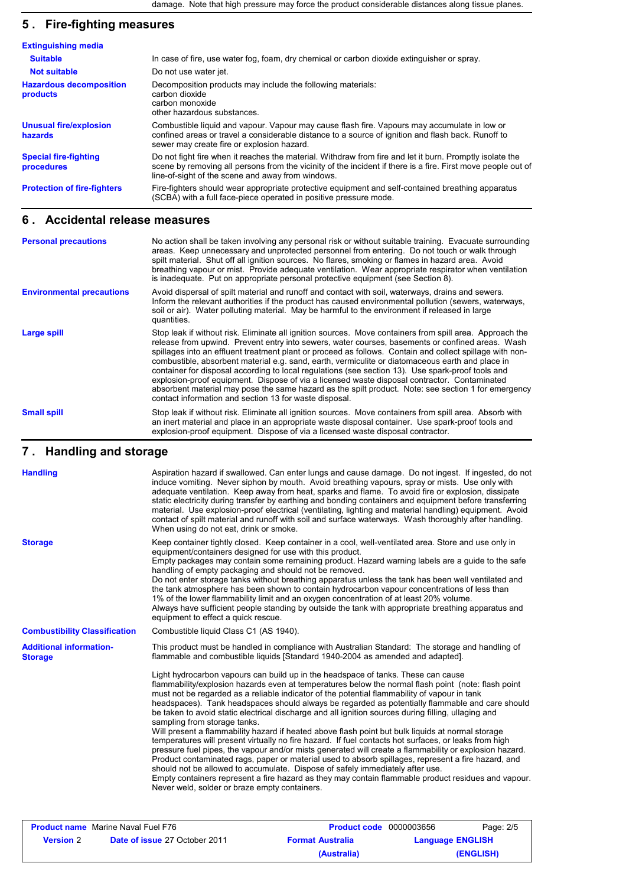# **5 . Fire-fighting measures**

| <b>Extinguishing media</b>                 |                                                                                                                                                                                                                                                                               |
|--------------------------------------------|-------------------------------------------------------------------------------------------------------------------------------------------------------------------------------------------------------------------------------------------------------------------------------|
| <b>Suitable</b>                            | In case of fire, use water fog, foam, dry chemical or carbon dioxide extinguisher or spray.                                                                                                                                                                                   |
| <b>Not suitable</b>                        | Do not use water jet.                                                                                                                                                                                                                                                         |
| <b>Hazardous decomposition</b><br>products | Decomposition products may include the following materials:<br>carbon dioxide<br>carbon monoxide<br>other hazardous substances.                                                                                                                                               |
| <b>Unusual fire/explosion</b><br>hazards   | Combustible liquid and vapour. Vapour may cause flash fire. Vapours may accumulate in low or<br>confined areas or travel a considerable distance to a source of ignition and flash back. Runoff to<br>sewer may create fire or explosion hazard.                              |
| <b>Special fire-fighting</b><br>procedures | Do not fight fire when it reaches the material. Withdraw from fire and let it burn. Promptly isolate the<br>scene by removing all persons from the vicinity of the incident if there is a fire. First move people out of<br>line-of-sight of the scene and away from windows. |
| <b>Protection of fire-fighters</b>         | Fire-fighters should wear appropriate protective equipment and self-contained breathing apparatus<br>(SCBA) with a full face-piece operated in positive pressure mode.                                                                                                        |

### **6 . Accidental release measures**

| <b>Personal precautions</b>      | No action shall be taken involving any personal risk or without suitable training. Evacuate surrounding<br>areas. Keep unnecessary and unprotected personnel from entering. Do not touch or walk through<br>spilt material. Shut off all ignition sources. No flares, smoking or flames in hazard area. Avoid<br>breathing vapour or mist. Provide adequate ventilation. Wear appropriate respirator when ventilation<br>is inadequate. Put on appropriate personal protective equipment (see Section 8).                                                                                                                                                                                                                                                                                          |
|----------------------------------|----------------------------------------------------------------------------------------------------------------------------------------------------------------------------------------------------------------------------------------------------------------------------------------------------------------------------------------------------------------------------------------------------------------------------------------------------------------------------------------------------------------------------------------------------------------------------------------------------------------------------------------------------------------------------------------------------------------------------------------------------------------------------------------------------|
| <b>Environmental precautions</b> | Avoid dispersal of spilt material and runoff and contact with soil, waterways, drains and sewers.<br>Inform the relevant authorities if the product has caused environmental pollution (sewers, waterways,<br>soil or air). Water polluting material. May be harmful to the environment if released in large<br>quantities.                                                                                                                                                                                                                                                                                                                                                                                                                                                                        |
| Large spill                      | Stop leak if without risk. Eliminate all ignition sources. Move containers from spill area. Approach the<br>release from upwind. Prevent entry into sewers, water courses, basements or confined areas. Wash<br>spillages into an effluent treatment plant or proceed as follows. Contain and collect spillage with non-<br>combustible, absorbent material e.g. sand, earth, vermiculite or diatomaceous earth and place in<br>container for disposal according to local regulations (see section 13). Use spark-proof tools and<br>explosion-proof equipment. Dispose of via a licensed waste disposal contractor. Contaminated<br>absorbent material may pose the same hazard as the spilt product. Note: see section 1 for emergency<br>contact information and section 13 for waste disposal. |
| <b>Small spill</b>               | Stop leak if without risk. Eliminate all ignition sources. Move containers from spill area. Absorb with<br>an inert material and place in an appropriate waste disposal container. Use spark-proof tools and<br>explosion-proof equipment. Dispose of via a licensed waste disposal contractor.                                                                                                                                                                                                                                                                                                                                                                                                                                                                                                    |

#### **Handling and storage 7 .**

| <b>Handling</b>                                  | Aspiration hazard if swallowed. Can enter lungs and cause damage. Do not ingest. If ingested, do not<br>induce vomiting. Never siphon by mouth. Avoid breathing vapours, spray or mists. Use only with<br>adequate ventilation. Keep away from heat, sparks and flame. To avoid fire or explosion, dissipate<br>static electricity during transfer by earthing and bonding containers and equipment before transferring<br>material. Use explosion-proof electrical (ventilating, lighting and material handling) equipment. Avoid<br>contact of spilt material and runoff with soil and surface waterways. Wash thoroughly after handling.<br>When using do not eat, drink or smoke.                                                                                                                                                                                                                                                                                                                                                                                                                                                                                                                      |
|--------------------------------------------------|------------------------------------------------------------------------------------------------------------------------------------------------------------------------------------------------------------------------------------------------------------------------------------------------------------------------------------------------------------------------------------------------------------------------------------------------------------------------------------------------------------------------------------------------------------------------------------------------------------------------------------------------------------------------------------------------------------------------------------------------------------------------------------------------------------------------------------------------------------------------------------------------------------------------------------------------------------------------------------------------------------------------------------------------------------------------------------------------------------------------------------------------------------------------------------------------------------|
| <b>Storage</b>                                   | Keep container tightly closed. Keep container in a cool, well-ventilated area. Store and use only in<br>equipment/containers designed for use with this product.<br>Empty packages may contain some remaining product. Hazard warning labels are a guide to the safe<br>handling of empty packaging and should not be removed.<br>Do not enter storage tanks without breathing apparatus unless the tank has been well ventilated and<br>the tank atmosphere has been shown to contain hydrocarbon vapour concentrations of less than<br>1% of the lower flammability limit and an oxygen concentration of at least 20% volume.<br>Always have sufficient people standing by outside the tank with appropriate breathing apparatus and<br>equipment to effect a quick rescue.                                                                                                                                                                                                                                                                                                                                                                                                                              |
| <b>Combustibility Classification</b>             | Combustible liquid Class C1 (AS 1940).                                                                                                                                                                                                                                                                                                                                                                                                                                                                                                                                                                                                                                                                                                                                                                                                                                                                                                                                                                                                                                                                                                                                                                     |
| <b>Additional information-</b><br><b>Storage</b> | This product must be handled in compliance with Australian Standard: The storage and handling of<br>flammable and combustible liquids [Standard 1940-2004 as amended and adapted].                                                                                                                                                                                                                                                                                                                                                                                                                                                                                                                                                                                                                                                                                                                                                                                                                                                                                                                                                                                                                         |
|                                                  | Light hydrocarbon vapours can build up in the headspace of tanks. These can cause<br>flammability/explosion hazards even at temperatures below the normal flash point (note: flash point<br>must not be regarded as a reliable indicator of the potential flammability of vapour in tank<br>headspaces). Tank headspaces should always be regarded as potentially flammable and care should<br>be taken to avoid static electrical discharge and all ignition sources during filling, ullaging and<br>sampling from storage tanks.<br>Will present a flammability hazard if heated above flash point but bulk liquids at normal storage<br>temperatures will present virtually no fire hazard. If fuel contacts hot surfaces, or leaks from high<br>pressure fuel pipes, the vapour and/or mists generated will create a flammability or explosion hazard.<br>Product contaminated rags, paper or material used to absorb spillages, represent a fire hazard, and<br>should not be allowed to accumulate. Dispose of safely immediately after use.<br>Empty containers represent a fire hazard as they may contain flammable product residues and vapour.<br>Never weld, solder or braze empty containers. |

|                  | <b>Product name</b> Marine Naval Fuel F76 | <b>Product code</b> 0000003656 | Page: 2/5               |
|------------------|-------------------------------------------|--------------------------------|-------------------------|
| <b>Version</b> 2 | <b>Date of issue 27 October 2011</b>      | <b>Format Australia</b>        | <b>Language ENGLISH</b> |
|                  |                                           | (Australia)                    | (ENGLISH)               |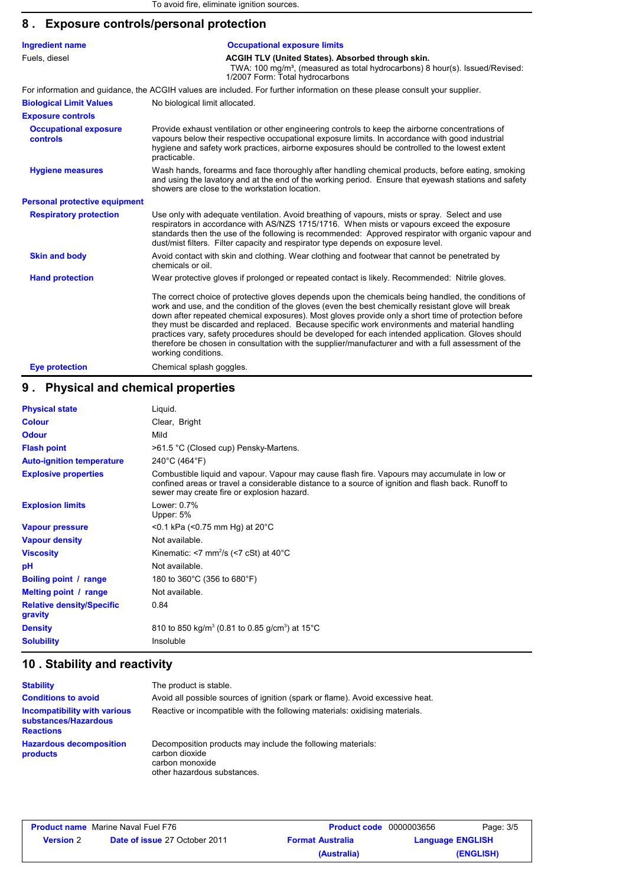# **8 . Exposure controls/personal protection**

| <b>Ingredient name</b>                   | <b>Occupational exposure limits</b>                                                                                                                                                                                                                                                                                                                                                                                                                                                                                                                                                                                                                    |  |  |
|------------------------------------------|--------------------------------------------------------------------------------------------------------------------------------------------------------------------------------------------------------------------------------------------------------------------------------------------------------------------------------------------------------------------------------------------------------------------------------------------------------------------------------------------------------------------------------------------------------------------------------------------------------------------------------------------------------|--|--|
| Fuels, diesel                            | ACGIH TLV (United States). Absorbed through skin.<br>TWA: 100 mg/m <sup>3</sup> , (measured as total hydrocarbons) 8 hour(s). Issued/Revised:<br>1/2007 Form: Total hydrocarbons                                                                                                                                                                                                                                                                                                                                                                                                                                                                       |  |  |
|                                          | For information and quidance, the ACGIH values are included. For further information on these please consult your supplier.                                                                                                                                                                                                                                                                                                                                                                                                                                                                                                                            |  |  |
| <b>Biological Limit Values</b>           | No biological limit allocated.                                                                                                                                                                                                                                                                                                                                                                                                                                                                                                                                                                                                                         |  |  |
| <b>Exposure controls</b>                 |                                                                                                                                                                                                                                                                                                                                                                                                                                                                                                                                                                                                                                                        |  |  |
| <b>Occupational exposure</b><br>controls | Provide exhaust ventilation or other engineering controls to keep the airborne concentrations of<br>vapours below their respective occupational exposure limits. In accordance with good industrial<br>hygiene and safety work practices, airborne exposures should be controlled to the lowest extent<br>practicable.                                                                                                                                                                                                                                                                                                                                 |  |  |
| <b>Hygiene measures</b>                  | Wash hands, forearms and face thoroughly after handling chemical products, before eating, smoking<br>and using the lavatory and at the end of the working period. Ensure that eyewash stations and safety<br>showers are close to the workstation location.                                                                                                                                                                                                                                                                                                                                                                                            |  |  |
| <b>Personal protective equipment</b>     |                                                                                                                                                                                                                                                                                                                                                                                                                                                                                                                                                                                                                                                        |  |  |
| <b>Respiratory protection</b>            | Use only with adequate ventilation. Avoid breathing of vapours, mists or spray. Select and use<br>respirators in accordance with AS/NZS 1715/1716. When mists or vapours exceed the exposure<br>standards then the use of the following is recommended: Approved respirator with organic vapour and<br>dust/mist filters. Filter capacity and respirator type depends on exposure level.                                                                                                                                                                                                                                                               |  |  |
| <b>Skin and body</b>                     | Avoid contact with skin and clothing. Wear clothing and footwear that cannot be penetrated by<br>chemicals or oil.                                                                                                                                                                                                                                                                                                                                                                                                                                                                                                                                     |  |  |
| <b>Hand protection</b>                   | Wear protective gloves if prolonged or repeated contact is likely. Recommended: Nitrile gloves.                                                                                                                                                                                                                                                                                                                                                                                                                                                                                                                                                        |  |  |
|                                          | The correct choice of protective gloves depends upon the chemicals being handled, the conditions of<br>work and use, and the condition of the gloves (even the best chemically resistant glove will break<br>down after repeated chemical exposures). Most gloves provide only a short time of protection before<br>they must be discarded and replaced. Because specific work environments and material handling<br>practices vary, safety procedures should be developed for each intended application. Gloves should<br>therefore be chosen in consultation with the supplier/manufacturer and with a full assessment of the<br>working conditions. |  |  |
| <b>Eye protection</b>                    | Chemical splash goggles.                                                                                                                                                                                                                                                                                                                                                                                                                                                                                                                                                                                                                               |  |  |

# **9 . Physical and chemical properties**

| <b>Physical state</b>                       | Liquid.                                                                                                                                                                                                                                          |
|---------------------------------------------|--------------------------------------------------------------------------------------------------------------------------------------------------------------------------------------------------------------------------------------------------|
| <b>Colour</b>                               | Clear, Bright                                                                                                                                                                                                                                    |
| <b>Odour</b>                                | Mild                                                                                                                                                                                                                                             |
| <b>Flash point</b>                          | >61.5 °C (Closed cup) Pensky-Martens.                                                                                                                                                                                                            |
| <b>Auto-ignition temperature</b>            | 240°C (464°F)                                                                                                                                                                                                                                    |
| <b>Explosive properties</b>                 | Combustible liquid and vapour. Vapour may cause flash fire. Vapours may accumulate in low or<br>confined areas or travel a considerable distance to a source of ignition and flash back. Runoff to<br>sewer may create fire or explosion hazard. |
| <b>Explosion limits</b>                     | Lower: 0.7%<br>Upper: 5%                                                                                                                                                                                                                         |
| <b>Vapour pressure</b>                      | $<$ 0.1 kPa ( $<$ 0.75 mm Hg) at 20 $^{\circ}$ C                                                                                                                                                                                                 |
| <b>Vapour density</b>                       | Not available.                                                                                                                                                                                                                                   |
| <b>Viscosity</b>                            | Kinematic: <7 mm <sup>2</sup> /s (<7 cSt) at $40^{\circ}$ C                                                                                                                                                                                      |
| рH                                          | Not available.                                                                                                                                                                                                                                   |
| Boiling point / range                       | 180 to 360°C (356 to 680°F)                                                                                                                                                                                                                      |
| Melting point / range                       | Not available.                                                                                                                                                                                                                                   |
| <b>Relative density/Specific</b><br>gravity | 0.84                                                                                                                                                                                                                                             |
| <b>Density</b>                              | 810 to 850 kg/m <sup>3</sup> (0.81 to 0.85 g/cm <sup>3</sup> ) at 15°C                                                                                                                                                                           |
| <b>Solubility</b>                           | Insoluble                                                                                                                                                                                                                                        |

# **10 . Stability and reactivity**

| <b>Stability</b>                                                         | The product is stable.                                                                                                          |
|--------------------------------------------------------------------------|---------------------------------------------------------------------------------------------------------------------------------|
| <b>Conditions to avoid</b>                                               | Avoid all possible sources of ignition (spark or flame). Avoid excessive heat.                                                  |
| Incompatibility with various<br>substances/Hazardous<br><b>Reactions</b> | Reactive or incompatible with the following materials: oxidising materials.                                                     |
| <b>Hazardous decomposition</b><br>products                               | Decomposition products may include the following materials:<br>carbon dioxide<br>carbon monoxide<br>other hazardous substances. |

| <b>Product name</b> Marine Naval Fuel F76 |                                                                 | <b>Product code</b> 0000003656 |                         | Page: 3/5 |
|-------------------------------------------|-----------------------------------------------------------------|--------------------------------|-------------------------|-----------|
| <b>Version</b> 2                          | <b>Date of issue 27 October 2011</b><br><b>Format Australia</b> |                                | <b>Language ENGLISH</b> |           |
|                                           |                                                                 | (Australia)                    |                         | (ENGLISH) |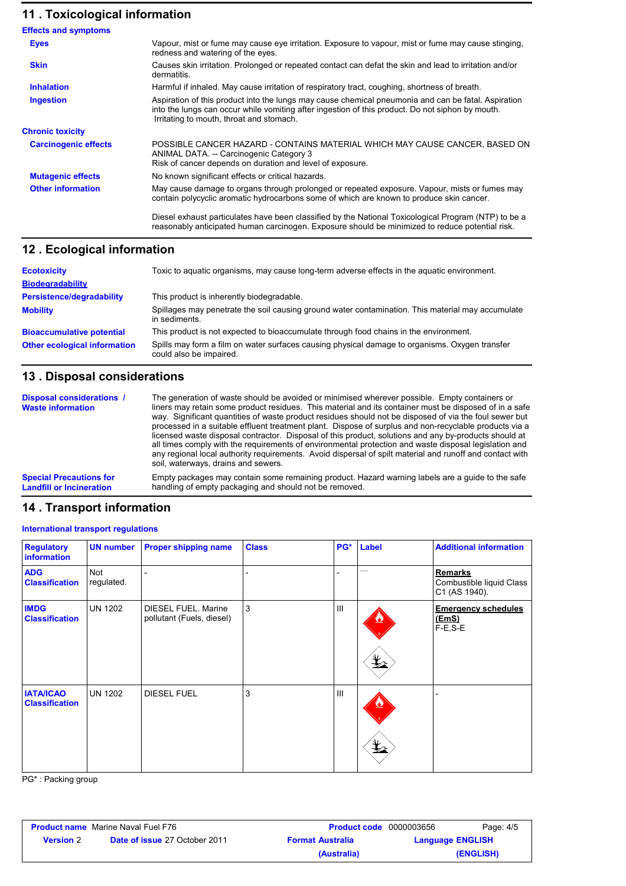# **11 . Toxicological information**

| <b>Effects and symptoms</b> |                                                                                                                                                                                                                                                     |
|-----------------------------|-----------------------------------------------------------------------------------------------------------------------------------------------------------------------------------------------------------------------------------------------------|
| <b>Eyes</b>                 | Vapour, mist or fume may cause eye irritation. Exposure to vapour, mist or fume may cause stinging,<br>redness and watering of the eyes.                                                                                                            |
| <b>Skin</b>                 | Causes skin irritation. Prolonged or repeated contact can defat the skin and lead to irritation and/or<br>dermatitis.                                                                                                                               |
| <b>Inhalation</b>           | Harmful if inhaled. May cause irritation of respiratory tract, coughing, shortness of breath.                                                                                                                                                       |
| <b>Ingestion</b>            | Aspiration of this product into the lungs may cause chemical pneumonia and can be fatal. Aspiration<br>into the lungs can occur while vomiting after ingestion of this product. Do not siphon by mouth.<br>Irritating to mouth, throat and stomach. |
| <b>Chronic toxicity</b>     |                                                                                                                                                                                                                                                     |
| <b>Carcinogenic effects</b> | POSSIBLE CANCER HAZARD - CONTAINS MATERIAL WHICH MAY CAUSE CANCER, BASED ON<br>ANIMAL DATA. -- Carcinogenic Category 3<br>Risk of cancer depends on duration and level of exposure.                                                                 |
| <b>Mutagenic effects</b>    | No known significant effects or critical hazards.                                                                                                                                                                                                   |
| <b>Other information</b>    | May cause damage to organs through prolonged or repeated exposure. Vapour, mists or fumes may<br>contain polycyclic aromatic hydrocarbons some of which are known to produce skin cancer.                                                           |
|                             | Diesel exhaust particulates have been classified by the National Toxicological Program (NTP) to be a<br>reasonably anticipated human carcinogen. Exposure should be minimized to reduce potential risk.                                             |

### **Ecological information 12 .**

| <b>Ecotoxicity</b>                  | Toxic to aquatic organisms, may cause long-term adverse effects in the aquatic environment.                               |
|-------------------------------------|---------------------------------------------------------------------------------------------------------------------------|
| <b>Biodegradability</b>             |                                                                                                                           |
| <b>Persistence/degradability</b>    | This product is inherently biodegradable.                                                                                 |
| <b>Mobility</b>                     | Spillages may penetrate the soil causing ground water contamination. This material may accumulate<br>in sediments.        |
| <b>Bioaccumulative potential</b>    | This product is not expected to bioaccumulate through food chains in the environment.                                     |
| <b>Other ecological information</b> | Spills may form a film on water surfaces causing physical damage to organisms. Oxygen transfer<br>could also be impaired. |

# **13 . Disposal considerations**

| Disposal considerations /<br><b>Waste information</b> | The generation of waste should be avoided or minimised wherever possible. Empty containers or<br>liners may retain some product residues. This material and its container must be disposed of in a safe<br>way. Significant quantities of waste product residues should not be disposed of via the foul sewer but<br>processed in a suitable effluent treatment plant. Dispose of surplus and non-recyclable products via a<br>licensed waste disposal contractor. Disposal of this product, solutions and any by-products should at<br>all times comply with the requirements of environmental protection and waste disposal legislation and<br>any regional local authority reguirements. Avoid dispersal of spilt material and runoff and contact with<br>soil, waterways, drains and sewers. |
|-------------------------------------------------------|--------------------------------------------------------------------------------------------------------------------------------------------------------------------------------------------------------------------------------------------------------------------------------------------------------------------------------------------------------------------------------------------------------------------------------------------------------------------------------------------------------------------------------------------------------------------------------------------------------------------------------------------------------------------------------------------------------------------------------------------------------------------------------------------------|
| <b>Special Precautions for</b>                        | Empty packages may contain some remaining product. Hazard warning labels are a quide to the safe                                                                                                                                                                                                                                                                                                                                                                                                                                                                                                                                                                                                                                                                                                 |
| <b>Landfill or Incineration</b>                       | handling of empty packaging and should not be removed.                                                                                                                                                                                                                                                                                                                                                                                                                                                                                                                                                                                                                                                                                                                                           |

# **14 . Transport information**

#### **International transport regulations**

| <b>Regulatory</b><br>information          | <b>UN number</b>  | <b>Proper shipping name</b>                      | <b>Class</b> | PG*            | Label                               | <b>Additional information</b>                               |
|-------------------------------------------|-------------------|--------------------------------------------------|--------------|----------------|-------------------------------------|-------------------------------------------------------------|
| <b>ADG</b><br><b>Classification</b>       | Not<br>regulated. |                                                  |              |                |                                     | <b>Remarks</b><br>Combustible liquid Class<br>C1 (AS 1940). |
| <b>IMDG</b><br><b>Classification</b>      | UN 1202           | DIESEL FUEL. Marine<br>pollutant (Fuels, diesel) | 3            | III            | $\mathbf{\mathbf{\underline{Y}}}_2$ | <b>Emergency schedules</b><br><u>(EmS)</u><br>$F-E$ , $S-E$ |
| <b>IATA/ICAO</b><br><b>Classification</b> | <b>UN 1202</b>    | <b>DIESEL FUEL</b>                               | 3            | $\mathbf{III}$ | qΣ                                  |                                                             |

PG\* : Packing group

| <b>Product name</b> Marine Naval Fuel F76 |                                      | <b>Product code</b> 0000003656 |  | Page: 4/5               |
|-------------------------------------------|--------------------------------------|--------------------------------|--|-------------------------|
| <b>Version 2</b>                          | <b>Date of issue 27 October 2011</b> | <b>Format Australia</b>        |  | <b>Language ENGLISH</b> |
|                                           |                                      | (Australia)                    |  | (ENGLISH)               |